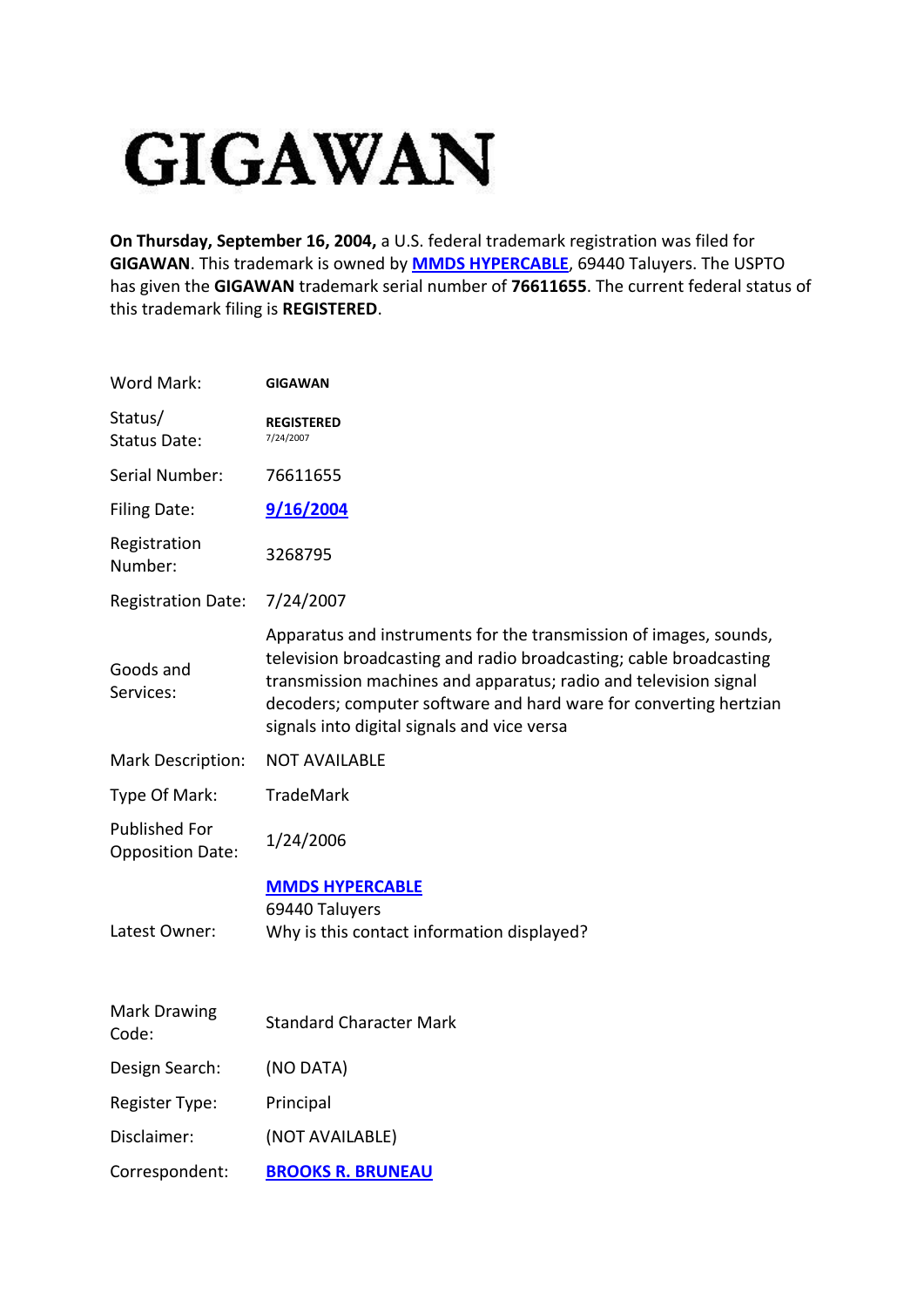## **GIGAWAN**

**On Thursday, September 16, 2004,** a U.S. federal trademark registration was filed for **GIGAWAN**. This trademark is owned by **[MMDS HYPERCABLE](http://www.trademarkia.com/company-mmds-hypercable-819228-page-1-2)**, 69440 Taluyers. The USPTO has given the **GIGAWAN** trademark serial number of **76611655**. The current federal status of this trademark filing is **REGISTERED**.

| Word Mark:                                      | <b>GIGAWAN</b>                                                                                                                                                                                                                                                                                                                  |
|-------------------------------------------------|---------------------------------------------------------------------------------------------------------------------------------------------------------------------------------------------------------------------------------------------------------------------------------------------------------------------------------|
| Status/<br><b>Status Date:</b>                  | <b>REGISTERED</b><br>7/24/2007                                                                                                                                                                                                                                                                                                  |
| Serial Number:                                  | 76611655                                                                                                                                                                                                                                                                                                                        |
| <b>Filing Date:</b>                             | 9/16/2004                                                                                                                                                                                                                                                                                                                       |
| Registration<br>Number:                         | 3268795                                                                                                                                                                                                                                                                                                                         |
| <b>Registration Date:</b>                       | 7/24/2007                                                                                                                                                                                                                                                                                                                       |
| Goods and<br>Services:                          | Apparatus and instruments for the transmission of images, sounds,<br>television broadcasting and radio broadcasting; cable broadcasting<br>transmission machines and apparatus; radio and television signal<br>decoders; computer software and hard ware for converting hertzian<br>signals into digital signals and vice versa |
| Mark Description:                               | <b>NOT AVAILABLE</b>                                                                                                                                                                                                                                                                                                            |
| Type Of Mark:                                   | <b>TradeMark</b>                                                                                                                                                                                                                                                                                                                |
| <b>Published For</b><br><b>Opposition Date:</b> | 1/24/2006                                                                                                                                                                                                                                                                                                                       |
| Latest Owner:                                   | <b>MMDS HYPERCABLE</b><br>69440 Taluyers<br>Why is this contact information displayed?                                                                                                                                                                                                                                          |
| <b>Mark Drawing</b><br>Code:                    | <b>Standard Character Mark</b>                                                                                                                                                                                                                                                                                                  |
| Design Search:                                  | (NO DATA)                                                                                                                                                                                                                                                                                                                       |
| Register Type:                                  | Principal                                                                                                                                                                                                                                                                                                                       |
| Disclaimer:                                     | (NOT AVAILABLE)                                                                                                                                                                                                                                                                                                                 |
| Correspondent:                                  | <b>BROOKS R. BRUNEAU</b>                                                                                                                                                                                                                                                                                                        |